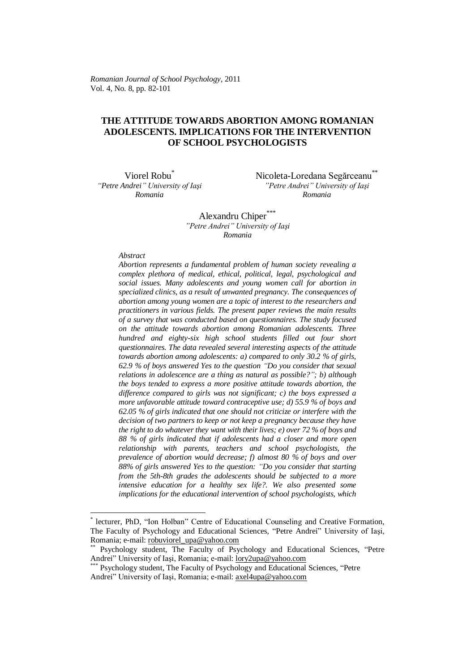*Romanian Journal of School Psychology*, 2011 Vol. 4, No. 8, pp. 82-101

## **THE ATTITUDE TOWARDS ABORTION AMONG ROMANIAN ADOLESCENTS. IMPLICATIONS FOR THE INTERVENTION OF SCHOOL PSYCHOLOGISTS**

Viorel Robu<sup>\*</sup> *"Petre Andrei" University of Iaşi Romania*

Nicoleta-Loredana Segărceanu<sup>\*\*</sup> *"Petre Andrei" University of Iaşi Romania*

Alexandru Chiper<sup>\*</sup> *"Petre Andrei" University of Iaşi Romania*

*Abstract*

1

*Abortion represents a fundamental problem of human society revealing a complex plethora of medical, ethical, political, legal, psychological and social issues. Many adolescents and young women call for abortion in specialized clinics, as a result of unwanted pregnancy. The consequences of abortion among young women are a topic of interest to the researchers and practitioners in various fields. The present paper reviews the main results of a survey that was conducted based on questionnaires. The study focused on the attitude towards abortion among Romanian adolescents. Three hundred and eighty-six high school students filled out four short questionnaires. The data revealed several interesting aspects of the attitude towards abortion among adolescents: a) compared to only 30.2 % of girls, 62.9 % of boys answered Yes to the question "Do you consider that sexual relations in adolescence are a thing as natural as possible?"; b) although the boys tended to express a more positive attitude towards abortion, the difference compared to girls was not significant; c) the boys expressed a more unfavorable attitude toward contraceptive use; d) 55.9 % of boys and 62.05 % of girls indicated that one should not criticize or interfere with the decision of two partners to keep or not keep a pregnancy because they have the right to do whatever they want with their lives; e) over 72 % of boys and 88 % of girls indicated that if adolescents had a closer and more open relationship with parents, teachers and school psychologists, the prevalence of abortion would decrease; f) almost 80 % of boys and over 88% of girls answered Yes to the question: "Do you consider that starting from the 5th-8th grades the adolescents should be subjected to a more intensive education for a healthy sex life?. We also presented some implications for the educational intervention of school psychologists, which* 

<sup>\*</sup> lecturer, PhD, "Ion Holban" Centre of Educational Counseling and Creative Formation, The Faculty of Psychology and Educational Sciences, "Petre Andrei" University of Iaşi, Romania; e-mail[: robuviorel\\_upa@yahoo.com](mailto:robuviorel_upa@yahoo.com)

Psychology student, The Faculty of Psychology and Educational Sciences, "Petre Andrei" University of Iași, Romania; e-mail: [lory2upa@yahoo.com](mailto:lory2upa@yahoo.com)

Psychology student, The Faculty of Psychology and Educational Sciences, "Petre Andrei" University of Iași, Romania; e-mail: [axel4upa@yahoo.com](mailto:axel4upa@yahoo.com)